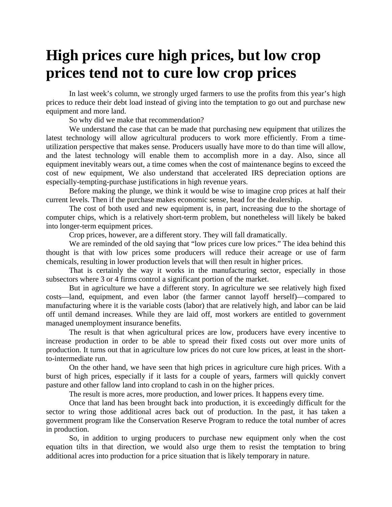## **High prices cure high prices, but low crop prices tend not to cure low crop prices**

In last week's column, we strongly urged farmers to use the profits from this year's high prices to reduce their debt load instead of giving into the temptation to go out and purchase new equipment and more land.

So why did we make that recommendation?

We understand the case that can be made that purchasing new equipment that utilizes the latest technology will allow agricultural producers to work more efficiently. From a timeutilization perspective that makes sense. Producers usually have more to do than time will allow, and the latest technology will enable them to accomplish more in a day. Also, since all equipment inevitably wears out, a time comes when the cost of maintenance begins to exceed the cost of new equipment, We also understand that accelerated IRS depreciation options are especially-tempting-purchase justifications in high revenue years.

Before making the plunge, we think it would be wise to imagine crop prices at half their current levels. Then if the purchase makes economic sense, head for the dealership.

The cost of both used and new equipment is, in part, increasing due to the shortage of computer chips, which is a relatively short-term problem, but nonetheless will likely be baked into longer-term equipment prices.

Crop prices, however, are a different story. They will fall dramatically.

We are reminded of the old saying that "low prices cure low prices." The idea behind this thought is that with low prices some producers will reduce their acreage or use of farm chemicals, resulting in lower production levels that will then result in higher prices.

That is certainly the way it works in the manufacturing sector, especially in those subsectors where 3 or 4 firms control a significant portion of the market.

But in agriculture we have a different story. In agriculture we see relatively high fixed costs—land, equipment, and even labor (the farmer cannot layoff herself)—compared to manufacturing where it is the variable costs (labor) that are relatively high, and labor can be laid off until demand increases. While they are laid off, most workers are entitled to government managed unemployment insurance benefits.

The result is that when agricultural prices are low, producers have every incentive to increase production in order to be able to spread their fixed costs out over more units of production. It turns out that in agriculture low prices do not cure low prices, at least in the shortto-intermediate run.

On the other hand, we have seen that high prices in agriculture cure high prices. With a burst of high prices, especially if it lasts for a couple of years, farmers will quickly convert pasture and other fallow land into cropland to cash in on the higher prices.

The result is more acres, more production, and lower prices. It happens every time.

Once that land has been brought back into production, it is exceedingly difficult for the sector to wring those additional acres back out of production. In the past, it has taken a government program like the Conservation Reserve Program to reduce the total number of acres in production.

So, in addition to urging producers to purchase new equipment only when the cost equation tilts in that direction, we would also urge them to resist the temptation to bring additional acres into production for a price situation that is likely temporary in nature.